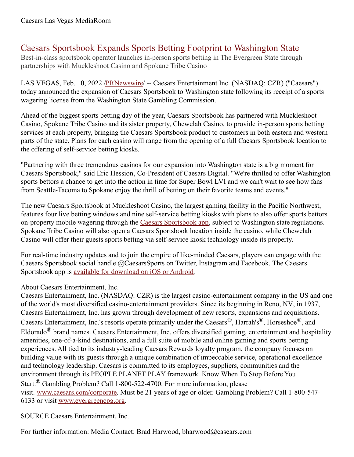## Caesars Sportsbook Expands Sports Betting Footprint to Washington State

Best-in-class sportsbook operator launches in-person sports betting in The Evergreen State through partnerships with Muckleshoot Casino and Spokane Tribe Casino

LAS VEGAS, Feb. 10, 2022 [/PRNewswire](http://www.prnewswire.com/)/ -- Caesars Entertainment Inc. (NASDAQ: CZR) ("Caesars") today announced the expansion of Caesars Sportsbook to Washington state following its receipt of a sports wagering license from the Washington State Gambling Commission.

Ahead of the biggest sports betting day of the year, Caesars Sportsbook has partnered with Muckleshoot Casino, Spokane Tribe Casino and its sister property, Chewelah Casino, to provide in-person sports betting services at each property, bringing the Caesars Sportsbook product to customers in both eastern and western parts of the state. Plans for each casino will range from the opening of a full Caesars Sportsbook location to the offering of self-service betting kiosks.

"Partnering with three tremendous casinos for our expansion into Washington state is a big moment for Caesars Sportsbook," said Eric Hession, Co-President of Caesars Digital. "We're thrilled to offer Washington sports bettors a chance to get into the action in time for Super Bowl LVI and we can't wait to see how fans from Seattle-Tacoma to Spokane enjoy the thrill of betting on their favorite teams and events."

The new Caesars Sportsbook at Muckleshoot Casino, the largest gaming facility in the Pacific Northwest, features four live betting windows and nine self-service betting kiosks with plans to also offer sports bettors on-property mobile wagering through the Caesars [Sportsbook](https://c212.net/c/link/?t=0&l=en&o=3440949-1&h=3339535612&u=https%3A%2F%2Fwww.caesars.com%2Fsportsbook&a=Caesars+Sportsbook+app) app, subject to Washington state regulations. Spokane Tribe Casino will also open a Caesars Sportsbook location inside the casino, while Chewelah Casino will offer their guests sports betting via self-service kiosk technology inside its property.

For real-time industry updates and to join the empire of like-minded Caesars, players can engage with the Caesars Sportsbook social handle @CaesarsSports on Twitter, Instagram and Facebook. The Caesars Sportsbook app is available for [download](https://c212.net/c/link/?t=0&l=en&o=3440949-1&h=35250904&u=https%3A%2F%2Fwww.williamhill.com%2Fus%2Fget-the-app&a=available+for+download+on+iOS+or+Android) on iOS or Android.

## About Caesars Entertainment, Inc.

Caesars Entertainment, Inc. (NASDAQ: CZR) is the largest casino-entertainment company in the US and one of the world's most diversified casino-entertainment providers. Since its beginning in Reno, NV, in 1937, Caesars Entertainment, Inc. has grown through development of new resorts, expansions and acquisitions. Caesars Entertainment, Inc.'s resorts operate primarily under the Caesars®, Harrah's®, Horseshoe®, and Eldorado® brand names. Caesars Entertainment, Inc. offers diversified gaming, entertainment and hospitality amenities, one-of-a-kind destinations, and a full suite of mobile and online gaming and sports betting experiences. All tied to its industry-leading Caesars Rewards loyalty program, the company focuses on building value with its guests through a unique combination of impeccable service, operational excellence and technology leadership. Caesars is committed to its employees, suppliers, communities and the environment through its PEOPLE PLANET PLAY framework. Know When To Stop Before You Start.® Gambling Problem? Call 1-800-522-4700. For more information, please visit. [www.caesars.com/corporate](https://c212.net/c/link/?t=0&l=en&o=3440949-1&h=2572268447&u=https%3A%2F%2Fwww.caesars.com%2Fcorporate&a=www.caesars.com%2Fcorporate). Must be 21 years of age or older. Gambling Problem? Call 1-800-547- 6133 or visit [www.evergreencpg.org.](https://c212.net/c/link/?t=0&l=en&o=3440949-1&h=2123667480&u=http%3A%2F%2Fwww.evergreencpg.org%2F&a=www.evergreencpg.org)

SOURCE Caesars Entertainment, Inc.

For further information: Media Contact: Brad Harwood, bharwood@casears.com